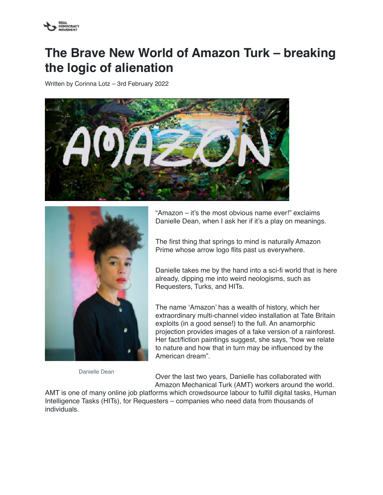

## **The Brave New World of Amazon Turk – breaking the logic of alienation**

Written by Corinna Lotz – 3rd February 2022





Danielle Dean

"Amazon – it's the most obvious name ever!" exclaims Danielle Dean, when I ask her if it's a play on meanings.

The first thing that springs to mind is naturally Amazon Prime whose arrow logo flits past us everywhere.

Danielle takes me by the hand into a sci-fi world that is here already, dipping me into weird neologisms, such as Requesters, Turks, and HITs.

The name 'Amazon' has a wealth of history, which her extraordinary multi-channel video installation at Tate Britain exploits (in a good sense!) to the full. An anamorphic projection provides images of a fake version of a rainforest. Her fact/fiction paintings suggest, she says, "how we relate to nature and how that in turn may be influenced by the American dream".

Over the last two years, Danielle has collaborated with Amazon Mechanical Turk (AMT) workers around the world.

AMT is one of many online job platforms which crowdsource labour to fulfill digital tasks, Human Intelligence Tasks (HITs), for Requesters – companies who need data from thousands of individuals.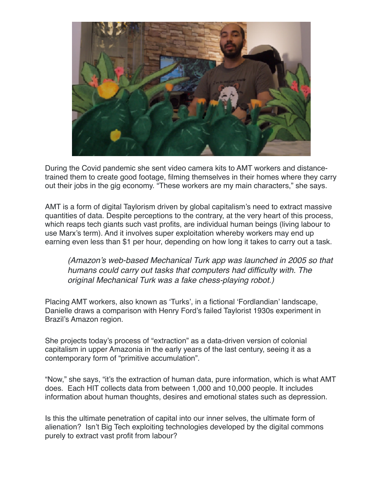

During the Covid pandemic she sent video camera kits to AMT workers and distancetrained them to create good footage, filming themselves in their homes where they carry out their jobs in the gig economy. "These workers are my main characters," she says.

AMT is a form of digital Taylorism driven by global capitalism's need to extract massive quantities of data. Despite perceptions to the contrary, at the very heart of this process, which reaps tech giants such vast profits, are individual human beings (living labour to use Marx's term). And it involves super exploitation whereby workers may end up earning even less than \$1 per hour, depending on how long it takes to carry out a task.

*(Amazon's web-based Mechanical Turk app was launched in 2005 so that humans could carry out tasks that computers had difficulty with. The original Mechanical Turk was a fake chess-playing robot.)* 

Placing AMT workers, also known as 'Turks', in a fictional 'Fordlandian' landscape, Danielle draws a comparison with Henry Ford's failed Taylorist 1930s experiment in Brazil's Amazon region.

She projects today's process of "extraction" as a data-driven version of colonial capitalism in upper Amazonia in the early years of the last century, seeing it as a contemporary form of "primitive accumulation".

"Now," she says, "it's the extraction of human data, pure information, which is what AMT does. Each HIT collects data from between 1,000 and 10,000 people. It includes information about human thoughts, desires and emotional states such as depression.

Is this the ultimate penetration of capital into our inner selves, the ultimate form of alienation? Isn't Big Tech exploiting technologies developed by the digital commons purely to extract vast profit from labour?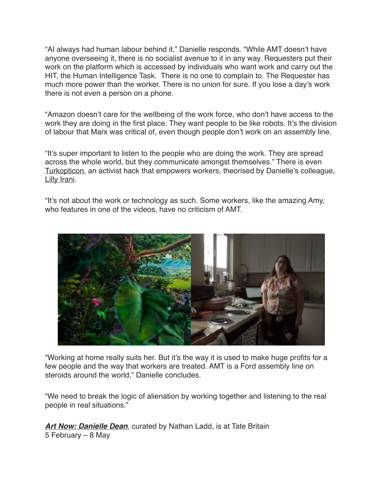"AI always had human labour behind it," Danielle responds. "While AMT doesn't have anyone overseeing it, there is no socialist avenue to it in any way. Requesters put their work on the platform which is accessed by individuals who want work and carry out the HIT, the Human Intelligence Task. There is no one to complain to. The Requester has much more power than the worker. There is no union for sure. If you lose a day's work there is not even a person on a phone.

"Amazon doesn't care for the wellbeing of the work force, who don't have access to the work they are doing in the first place. They want people to be like robots. It's the division of labour that Marx was critical of, even though people don't work on an assembly line.

"It's super important to listen to the people who are doing the work. They are spread across the whole world, but they communicate amongst themselves." There is even [Turkopticon](https://turkopticon.net/), an activist hack that empowers workers, theorised by Danielle's colleague, [Lilly Irani](https://en.wikipedia.org/wiki/Lilly_Irani).

"It's not about the work or technology as such. Some workers, like the amazing Amy, who features in one of the videos, have no criticism of AMT.



"Working at home really suits her. But it's the way it is used to make huge profits for a few people and the way that workers are treated. AMT is a Ford assembly line on steroids around the world," Danielle concludes.

"We need to break the logic of alienation by working together and listening to the real people in real situations."

*[Art Now: Danielle Dean](https://www.tate.org.uk/whats-on/tate-britain/exhibition/art-now-danielle-dean)*, curated by Nathan Ladd, is at Tate Britain 5 February – 8 May